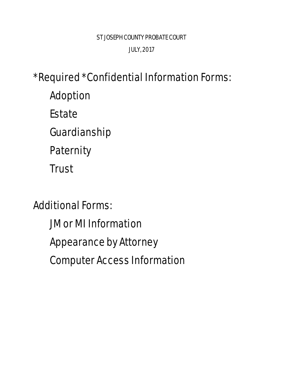\* Required \* Confidential Information Forms: [Adoption](#page-1-0)  **Estate** [Guardianship](#page-3-0) **Paternity [Trust](#page-5-0)** 

Additional Forms:

[JM or MI Information](#page-6-0)

[Appearance](#page-7-0) by Attorney

Computer Access Information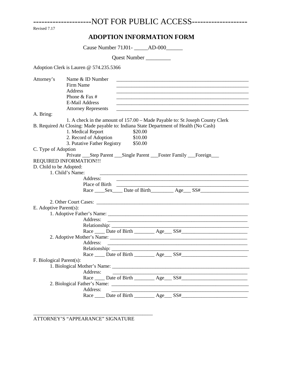<span id="page-1-0"></span>

| ---------------------NOT FOR PUBLIC ACCESS-------------------- |  |  |
|----------------------------------------------------------------|--|--|
|----------------------------------------------------------------|--|--|

Revised 7.17

## **ADOPTION INFORMATION FORM**

Cause Number 71J01- \_\_\_\_\_\_AD-000\_\_\_\_\_\_\_

Quest Number \_\_\_\_\_\_\_\_\_

Adoption Clerk is Lauren @ 574.235.5366

| Attorney's               | Name & ID Number<br>Firm Name<br>Address<br>Phone & Fax $#$<br><b>E-Mail Address</b><br><u> 1989 - Johann John Harry, mars ar yn y brenin y brenin y brenin y brenin y brenin y brenin y brenin y brenin</u><br><b>Attorney Represents</b> |
|--------------------------|--------------------------------------------------------------------------------------------------------------------------------------------------------------------------------------------------------------------------------------------|
| A. Bring:                |                                                                                                                                                                                                                                            |
|                          | 1. A check in the amount of 157.00 – Made Payable to: St Joseph County Clerk                                                                                                                                                               |
|                          | B. Required At Closing: Made payable to: Indiana State Department of Health (No Cash)                                                                                                                                                      |
|                          | 1. Medical Report<br>\$20.00                                                                                                                                                                                                               |
|                          | 2. Record of Adoption<br>\$10.00                                                                                                                                                                                                           |
|                          | 3. Putative Father Registry \$50.00                                                                                                                                                                                                        |
| C. Type of Adoption      |                                                                                                                                                                                                                                            |
|                          | Private ____Step Parent _____Single Parent _____Foster Family ____Foreign_____<br>REQUIRED INFORMATION !!!                                                                                                                                 |
| D. Child to be Adopted:  |                                                                                                                                                                                                                                            |
|                          | 1. Child's Name:<br><u> 1989 - Johann John Stoff, deutscher Stoffen und der Stoffen und der Stoffen und der Stoffen und der Stoffen u</u>                                                                                                  |
|                          | Address:<br><u> 1989 - Johann John Stone, market fan de Amerikaanske kommunister fan de Amerikaanske kommunister fan de Amerikaans</u>                                                                                                     |
|                          | Place of Birth 2008 and 2008 and 2008 and 2008 and 2008 and 2008 and 2008 and 2008 and 2008 and 2008 and 2008 and 2008 and 2008 and 2008 and 2008 and 2008 and 2008 and 2008 and 2008 and 2008 and 2008 and 2008 and 2008 and              |
|                          | Race Sex Date of Birth Age SS#                                                                                                                                                                                                             |
|                          |                                                                                                                                                                                                                                            |
| E. Adoptive Parent(s):   |                                                                                                                                                                                                                                            |
|                          |                                                                                                                                                                                                                                            |
|                          | Address:                                                                                                                                                                                                                                   |
|                          |                                                                                                                                                                                                                                            |
|                          |                                                                                                                                                                                                                                            |
|                          |                                                                                                                                                                                                                                            |
|                          | Address:<br><u> 1989 - Johann John Stone, markin film ar yn y brenin y brenin y brenin y brenin y brenin y brenin y brenin y</u>                                                                                                           |
|                          |                                                                                                                                                                                                                                            |
|                          |                                                                                                                                                                                                                                            |
| F. Biological Parent(s): |                                                                                                                                                                                                                                            |
|                          |                                                                                                                                                                                                                                            |
|                          | Address:                                                                                                                                                                                                                                   |
|                          |                                                                                                                                                                                                                                            |
|                          |                                                                                                                                                                                                                                            |
|                          | Address:                                                                                                                                                                                                                                   |
|                          | Race ______ Date of Birth ___________ Age____ SS#_________                                                                                                                                                                                 |

ATTORNEY'S "APPEARANCE" SIGNATURE

\_\_\_\_\_\_\_\_\_\_\_\_\_\_\_\_\_\_\_\_\_\_\_\_\_\_\_\_\_\_\_\_\_\_\_\_\_\_\_\_\_\_\_\_\_\_\_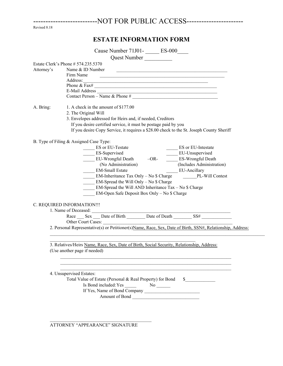| --------------------------NOT FOR PUBLIC ACCESS- |  |
|--------------------------------------------------|--|
|--------------------------------------------------|--|

Revised 8.18

## **ESTATE INFORMATION FORM**

|            | Cause Number 71J01-<br><u> ES-000</u>                                                                                                                   |
|------------|---------------------------------------------------------------------------------------------------------------------------------------------------------|
|            |                                                                                                                                                         |
|            | Estate Clerk's Phone # 574.235.5370                                                                                                                     |
| Attorney's | Name & ID Number<br><u> 2008 - Jan Barbarat, margaret amerikan basar dan menjadi basa dan menjadi basa dan menjadi basa dan menjadi ba</u><br>Firm Name |
|            | Phone & $\overline{Fast}$                                                                                                                               |
|            | E-Mail Address $\frac{1}{\text{Constant Person} - \text{Name & } \text{Phone #}}$                                                                       |
|            |                                                                                                                                                         |
| A. Bring:  | 1. A check in the amount of \$177.00<br>2. The Original Will                                                                                            |
|            | 3. Envelopes addressed for Heirs and, if needed, Creditors                                                                                              |
|            | If you desire certified service, it must be postage paid by you                                                                                         |
|            | If you desire Copy Service, it requires a \$28.00 check to the St. Joseph County Sheriff                                                                |
|            | B. Type of Filing & Assigned Case Type:<br>ES or EU-Testate<br>ES or EU-Intestate                                                                       |
|            | ES-Supervised<br>EU-Unsupervised                                                                                                                        |
|            | EU-Wrongful Death -OR- ES-Wrongful Death                                                                                                                |
|            | (Includes Administration)<br>(No Administration)                                                                                                        |
|            | <b>EM-Small Estate</b><br>EU-Ancillary                                                                                                                  |
|            | EM-Inheritance Tax Only - No \$ Charge PL-Will Contest                                                                                                  |
|            | $EM$ -Spread the Will Only – No \$ Charge                                                                                                               |
|            | EM-Spread the Will AND Inheritance $Tax - No$ \$ Charge                                                                                                 |
|            | EM-Open Safe Deposit Box Only - No \$ Charge                                                                                                            |
|            | C. REQUIRED INFORMATION!!!                                                                                                                              |
|            |                                                                                                                                                         |
|            |                                                                                                                                                         |
|            | Other Court Cases:                                                                                                                                      |
|            | 2. Personal Representative(s) or Petitioner(s)Name, Race, Sex, Date of Birth, SSN#, Relationship, Address:                                              |
|            | 3. Relatives/Heirs Name, Race, Sex, Date of Birth, Social Security, Relationship, Address:                                                              |
|            | (Use another page if needed)                                                                                                                            |
|            |                                                                                                                                                         |
|            |                                                                                                                                                         |
|            | 4. Unsupervised Estates:                                                                                                                                |
|            | Total Value of Estate (Personal & Real Property) for Bond<br>$\sim$                                                                                     |
|            |                                                                                                                                                         |
|            |                                                                                                                                                         |
|            | Amount of Bond                                                                                                                                          |
|            |                                                                                                                                                         |

ATTORNEY "APPEARANCE" SIGNATURE

 $\mathcal{L}_\text{max} = \mathcal{L}_\text{max} = \mathcal{L}_\text{max} = \mathcal{L}_\text{max} = \mathcal{L}_\text{max} = \mathcal{L}_\text{max} = \mathcal{L}_\text{max} = \mathcal{L}_\text{max} = \mathcal{L}_\text{max} = \mathcal{L}_\text{max} = \mathcal{L}_\text{max} = \mathcal{L}_\text{max} = \mathcal{L}_\text{max} = \mathcal{L}_\text{max} = \mathcal{L}_\text{max} = \mathcal{L}_\text{max} = \mathcal{L}_\text{max} = \mathcal{L}_\text{max} = \mathcal{$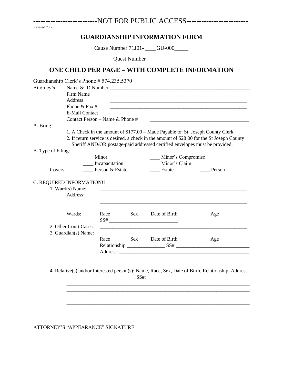<span id="page-3-0"></span>---------------------------NOT FOR PUBLIC ACCESS-------------------------

Revised 7.17

#### **GUARDIANSHIP INFORMATION FORM**

Cause Number 71J01-<br>
\_\_\_\_GU-000\_\_\_\_\_

Quest Number \_\_\_\_\_\_\_\_

### **ONE CHILD PER PAGE – WITH COMPLETE INFORMATION**

|                    | Guardianship Clerk's Phone # 574.235.5370 |                                 |      |                    |                                                                                                                       |
|--------------------|-------------------------------------------|---------------------------------|------|--------------------|-----------------------------------------------------------------------------------------------------------------------|
| Attorney's         |                                           |                                 |      |                    |                                                                                                                       |
|                    | Firm Name                                 |                                 |      |                    |                                                                                                                       |
|                    | Address                                   |                                 |      |                    |                                                                                                                       |
|                    | Phone & Fax #                             |                                 |      |                    | <u> 1989 - Johann Harry Harry Harry Harry Harry Harry Harry Harry Harry Harry Harry Harry Harry Harry Harry Harry</u> |
|                    | <b>E-Mail Contact</b>                     |                                 |      |                    |                                                                                                                       |
|                    |                                           | Contact Person - Name & Phone # |      |                    |                                                                                                                       |
| A. Bring           |                                           |                                 |      |                    |                                                                                                                       |
|                    |                                           |                                 |      |                    | 1. A Check in the amount of \$177.00 - Made Payable to: St. Joseph County Clerk                                       |
|                    |                                           |                                 |      |                    | 2. If return service is desired, a check in the amount of \$28.00 for the St Joseph County                            |
|                    |                                           |                                 |      |                    | Sheriff AND/OR postage-paid addressed certified envelopes must be provided.                                           |
| B. Type of Filing: |                                           |                                 |      |                    |                                                                                                                       |
|                    | $\equiv$ Minor                            |                                 |      | Minor's Compromise |                                                                                                                       |
|                    |                                           | ____ Incapacitation             |      | Minor's Claim      |                                                                                                                       |
| Covers:            |                                           | Person & Estate                 |      | Estate             | Person                                                                                                                |
|                    |                                           |                                 |      |                    |                                                                                                                       |
|                    | 1. Ward(s) Name:<br>Address:<br>Wards:    |                                 |      |                    |                                                                                                                       |
|                    |                                           |                                 |      |                    |                                                                                                                       |
|                    | 2. Other Court Cases:                     |                                 |      |                    |                                                                                                                       |
|                    | 3. Guardian(s) Name:                      |                                 |      |                    |                                                                                                                       |
|                    |                                           |                                 |      |                    |                                                                                                                       |
|                    |                                           |                                 |      |                    |                                                                                                                       |
|                    |                                           |                                 |      | Address:           |                                                                                                                       |
|                    |                                           |                                 |      |                    |                                                                                                                       |
|                    |                                           |                                 |      |                    |                                                                                                                       |
|                    |                                           |                                 |      |                    | 4. Relative(s) and/or Interested person(s): Name, Race, Sex, Date of Birth, Relationship, Address                     |
|                    |                                           |                                 | SS#: |                    |                                                                                                                       |
|                    |                                           |                                 |      |                    |                                                                                                                       |
|                    |                                           |                                 |      |                    |                                                                                                                       |
|                    |                                           |                                 |      |                    |                                                                                                                       |
|                    |                                           |                                 |      |                    |                                                                                                                       |
|                    |                                           |                                 |      |                    |                                                                                                                       |
|                    |                                           |                                 |      |                    |                                                                                                                       |

ATTORNEY'S "APPEARANCE" SIGNATURE

\_\_\_\_\_\_\_\_\_\_\_\_\_\_\_\_\_\_\_\_\_\_\_\_\_\_\_\_\_\_\_\_\_\_\_\_\_\_\_\_\_\_\_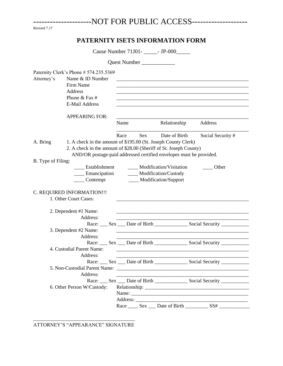<span id="page-4-0"></span>

| ----------------------NOT FOR PUBLIC ACCESS-------------------- |  |  |
|-----------------------------------------------------------------|--|--|
|-----------------------------------------------------------------|--|--|

| Revised 7.17 |  |
|--------------|--|
|              |  |

## **PATERNITY ISETS INFORMATION FORM**

Cause Number 71J01- - JP-000

|                    |                                                                                                                                                                                                             |      | Quest Number |                                                                                        |                                                                                                                       |
|--------------------|-------------------------------------------------------------------------------------------------------------------------------------------------------------------------------------------------------------|------|--------------|----------------------------------------------------------------------------------------|-----------------------------------------------------------------------------------------------------------------------|
| Attorney's         | Paternity Clerk's Phone # 574.235.5369<br>Name & ID Number<br>Firm Name<br>Address<br>Phone & Fax #<br><b>E-Mail Address</b>                                                                                |      |              |                                                                                        |                                                                                                                       |
|                    | <b>APPEARING FOR:</b>                                                                                                                                                                                       | Name |              | Relationship                                                                           | Address                                                                                                               |
| A. Bring           | 1. A check in the amount of \$195.00 (St. Joseph County Clerk)<br>2. A check in the amount of \$28.00 (Sheriff of St. Joseph County)<br>AND/OR postage-paid addressed certified envelopes must be provided. | Race | Sex          | Date of Birth                                                                          | Social Security #                                                                                                     |
| B. Type of Filing: | Establishment<br>Emancipation<br>$\frac{1}{2}$ Contempt<br>C. REQUIRED INFORMATION !!!<br>1. Other Court Cases:                                                                                             |      |              | ____ Modification/Visitation<br>____ Modification/Custody<br>____ Modification/Support | Other                                                                                                                 |
|                    | 2. Dependent #1 Name:<br>Address:                                                                                                                                                                           |      |              |                                                                                        | <u> 1989 - Johann Barn, amerikan bernama di sebagai bernama di sebagai bernama di sebagai bernama di sebagai bern</u> |
|                    | 3. Dependent #2 Name:<br>Address:                                                                                                                                                                           |      |              |                                                                                        |                                                                                                                       |
|                    | 4. Custodial Parent Name:<br>Address:                                                                                                                                                                       |      |              |                                                                                        |                                                                                                                       |
|                    | Address:<br>6. Other Person W/Custody:                                                                                                                                                                      |      |              |                                                                                        | Race: Sex Date of Birth Social Security                                                                               |
|                    |                                                                                                                                                                                                             |      |              | Race _______ Sex _____ Date of Birth                                                   | Name:                                                                                                                 |

\_\_\_\_\_\_\_\_\_\_\_\_\_\_\_\_\_\_\_\_\_\_\_\_\_\_\_\_\_\_\_\_\_\_\_\_\_\_\_\_ ATTORNEY'S "APPEARANCE" SIGNATURE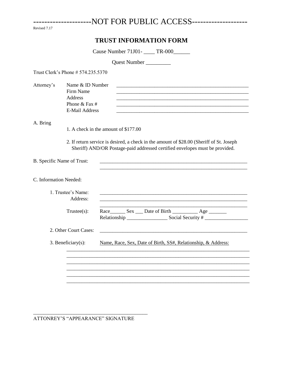Revised 7.17

#### TRUST INFORMATION FORM

Cause Number 71J01- \_\_\_\_\_ TR-000\_\_\_\_\_\_

Quest Number

Trust Clerk's Phone # 574.235.5370

<span id="page-5-0"></span>--------------------

Attorney's Name & ID Number Firm Name Address Phone & Fax  $#$ 

**E-Mail Address** 

#### A. Bring

- 1. A check in the amount of \$177.00
- 2. If return service is desired, a check in the amount of \$28.00 (Sheriff of St. Joseph Sheriff) AND/OR Postage-paid addressed certified envelopes must be provided.

| B. Specific Name of Trust:     |                                                                     |
|--------------------------------|---------------------------------------------------------------------|
| C. Information Needed:         |                                                                     |
| 1. Trustee's Name:<br>Address: |                                                                     |
| $Trustee(s)$ :                 | Race ________ Sex _____ Date of Birth _______________ Age _________ |
| 2. Other Court Cases:          |                                                                     |
| 3. Beneficiary $(s)$ :         | Name, Race, Sex, Date of Birth, SS#, Relationship, & Address:       |
|                                |                                                                     |
|                                |                                                                     |
|                                |                                                                     |
|                                |                                                                     |

ATTONREY'S "APPEARANCE" SIGNATURE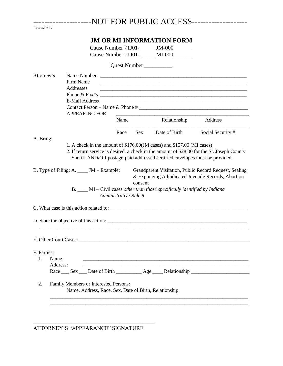<span id="page-6-0"></span>

|              |          |                                                       |                       |            |                                                                              | NOT FOR PUBLIC ACCESS--------------------                                                                            |
|--------------|----------|-------------------------------------------------------|-----------------------|------------|------------------------------------------------------------------------------|----------------------------------------------------------------------------------------------------------------------|
| Revised 7.17 |          |                                                       |                       |            |                                                                              |                                                                                                                      |
|              |          |                                                       |                       |            | <b>JM OR MI INFORMATION FORM</b>                                             |                                                                                                                      |
|              |          |                                                       |                       |            | Cause Number 71J01-<br>_______ JM-000________                                |                                                                                                                      |
|              |          |                                                       |                       |            | Cause Number 71J01-<br>MI-000                                                |                                                                                                                      |
|              |          |                                                       |                       |            | Quest Number                                                                 |                                                                                                                      |
| Attorney's   |          |                                                       |                       |            |                                                                              |                                                                                                                      |
|              |          | Firm Name                                             |                       |            |                                                                              | <u> 1989 - Johann John Stone, markin film ar yn y brenin y brenin y brenin y brenin y brenin y brenin y brenin y</u> |
|              |          | Addresses                                             |                       |            |                                                                              |                                                                                                                      |
|              |          |                                                       |                       |            |                                                                              |                                                                                                                      |
|              |          |                                                       |                       |            |                                                                              |                                                                                                                      |
|              |          | <b>APPEARING FOR:</b>                                 |                       |            |                                                                              |                                                                                                                      |
|              |          |                                                       | Name                  |            | Relationship                                                                 | Address                                                                                                              |
|              |          |                                                       | Race                  | <b>Sex</b> | Date of Birth                                                                | Social Security #                                                                                                    |
| A. Bring:    |          |                                                       |                       |            |                                                                              |                                                                                                                      |
|              |          |                                                       |                       |            | 1. A check in the amount of \$176.00(JM cases) and \$157.00 (MI cases)       |                                                                                                                      |
|              |          |                                                       |                       |            |                                                                              | 2. If return service is desired, a check in the amount of \$28.00 for the St. Joseph County                          |
|              |          |                                                       |                       |            | Sheriff AND/OR postage-paid addressed certified envelopes must be provided.  |                                                                                                                      |
|              |          | B. Type of Filing: A. ____ JM – Example:              | Administrative Rule 8 | consent    | B. ____ MI – Civil cases other than those specifically identified by Indiana | Grandparent Visitation, Public Record Request, Sealing<br>& Expunging Adjudicated Juvenile Records, Abortion         |
|              |          |                                                       |                       |            |                                                                              |                                                                                                                      |
|              |          |                                                       |                       |            | D. State the objective of this action:                                       |                                                                                                                      |
|              |          |                                                       |                       |            |                                                                              |                                                                                                                      |
|              |          |                                                       |                       |            |                                                                              |                                                                                                                      |
| F. Parties:  |          |                                                       |                       |            |                                                                              |                                                                                                                      |
| 1.           | Name:    |                                                       |                       |            |                                                                              |                                                                                                                      |
|              | Address: |                                                       |                       |            |                                                                              |                                                                                                                      |
|              |          |                                                       |                       |            |                                                                              | Race Sex __ Date of Birth _____________ Age ______ Relationship _________________                                    |
| 2.           |          | Family Members or Interested Persons:                 |                       |            |                                                                              |                                                                                                                      |
|              |          | Name, Address, Race, Sex, Date of Birth, Relationship |                       |            |                                                                              |                                                                                                                      |
|              |          |                                                       |                       |            |                                                                              |                                                                                                                      |
|              |          |                                                       |                       |            |                                                                              |                                                                                                                      |

ATTORNEY'S "APPEARANCE" SIGNATURE

\_\_\_\_\_\_\_\_\_\_\_\_\_\_\_\_\_\_\_\_\_\_\_\_\_\_\_\_\_\_\_\_\_\_\_\_\_\_\_\_\_\_\_\_\_\_\_\_